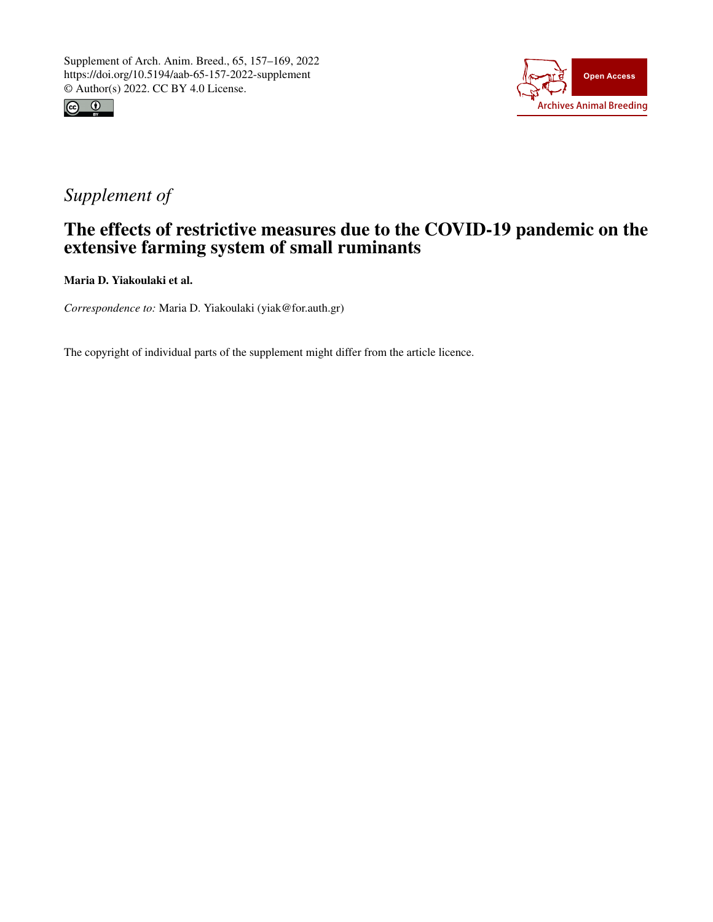



## *Supplement of*

## The effects of restrictive measures due to the COVID-19 pandemic on the extensive farming system of small ruminants

Maria D. Yiakoulaki et al.

*Correspondence to:* Maria D. Yiakoulaki (yiak@for.auth.gr)

The copyright of individual parts of the supplement might differ from the article licence.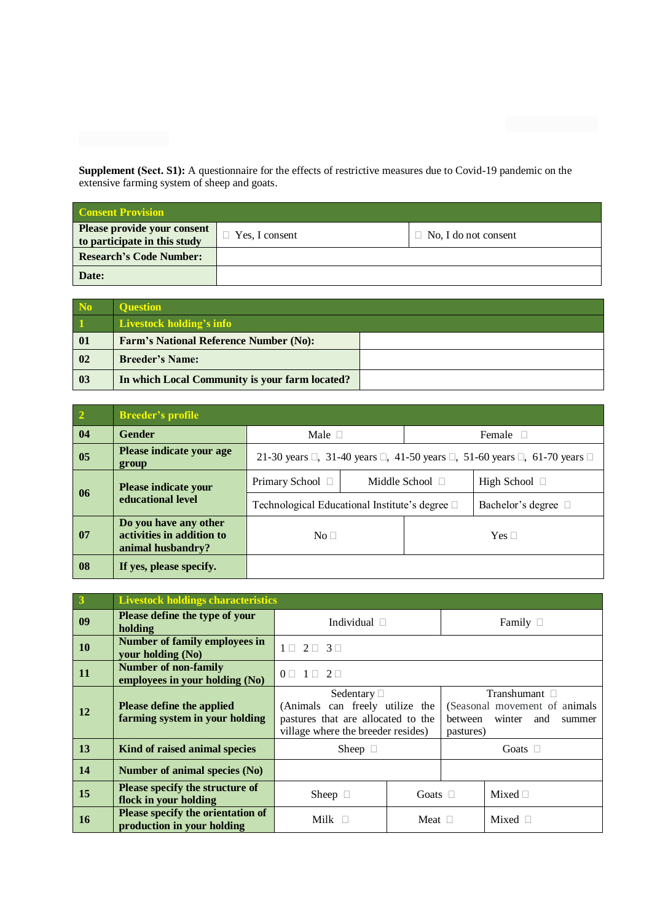**Supplement (Sect. S1):** A questionnaire for the effects of restrictive measures due to Covid-19 pandemic on the extensive farming system of sheep and goats.

| <b>Consent Provision</b>                                    |                |                             |  |  |  |  |
|-------------------------------------------------------------|----------------|-----------------------------|--|--|--|--|
| Please provide your consent<br>to participate in this study | Yes, I consent | $\Box$ No, I do not consent |  |  |  |  |
| <b>Research's Code Number:</b>                              |                |                             |  |  |  |  |
| Date:                                                       |                |                             |  |  |  |  |

| N <sub>o</sub>           | <b>Ouestion</b>                                |  |
|--------------------------|------------------------------------------------|--|
| $\vert$ 1                | Livestock holding's info                       |  |
| $\overline{\mathbf{0}}$  | <b>Farm's National Reference Number (No):</b>  |  |
| $\overline{\mathbf{02}}$ | <b>Breeder's Name:</b>                         |  |
| $\vert$ 03               | In which Local Community is your farm located? |  |

| $\overline{\mathbf{2}}$ | <b>Breeder's profile</b>                                                |                                                                                                        |  |                      |                    |  |
|-------------------------|-------------------------------------------------------------------------|--------------------------------------------------------------------------------------------------------|--|----------------------|--------------------|--|
| 04                      | <b>Gender</b>                                                           | Male $\square$                                                                                         |  | Female $\square$     |                    |  |
| 05                      | Please indicate your age<br>group                                       | 21-30 years $\Box$ , 31-40 years $\Box$ , 41-50 years $\Box$ , 51-60 years $\Box$ , 61-70 years $\Box$ |  |                      |                    |  |
| 06                      | Please indicate your<br>educational level                               | Primary School □                                                                                       |  | Middle School $\Box$ | High School $\Box$ |  |
|                         |                                                                         | Technological Educational Institute's degree $\square$                                                 |  | Bachelor's degree □  |                    |  |
| 07                      | Do you have any other<br>activities in addition to<br>animal husbandry? | No <sub>1</sub>                                                                                        |  | Yes $\Box$           |                    |  |
| 08                      | If yes, please specify.                                                 |                                                                                                        |  |                      |                    |  |

| $\overline{\mathbf{3}}$ | <b>Livestock holdings characteristics</b>                          |                                                                                                                                                                                                                                           |                 |                  |                 |  |  |
|-------------------------|--------------------------------------------------------------------|-------------------------------------------------------------------------------------------------------------------------------------------------------------------------------------------------------------------------------------------|-----------------|------------------|-----------------|--|--|
| 09                      | Please define the type of your<br>holding                          | Individual $\square$                                                                                                                                                                                                                      |                 | Family $\square$ |                 |  |  |
| 10                      | <b>Number of family employees in</b><br>your holding (No)          | $1 \sqcap 2 \sqcap 3 \sqcap$                                                                                                                                                                                                              |                 |                  |                 |  |  |
| 11                      | <b>Number of non-family</b><br>employees in your holding (No)      | $1 \sqcap 2 \sqcap$<br>$0\Box$                                                                                                                                                                                                            |                 |                  |                 |  |  |
| 12                      | <b>Please define the applied</b><br>farming system in your holding | Transhumant $\Box$<br>Sedentary $\Box$<br>(Animals can freely utilize the<br>(Seasonal movement of animals<br>pastures that are allocated to the<br>winter<br>between<br>and<br>summer<br>village where the breeder resides)<br>pastures) |                 |                  |                 |  |  |
| 13                      | Kind of raised animal species                                      | Sheep $\square$                                                                                                                                                                                                                           |                 | Goats $\square$  |                 |  |  |
| 14                      | Number of animal species (No)                                      |                                                                                                                                                                                                                                           |                 |                  |                 |  |  |
| 15                      | <b>Please specify the structure of</b><br>flock in your holding    | Sheep $\square$                                                                                                                                                                                                                           | Goats $\square$ |                  | Mixed $\Box$    |  |  |
| 16                      | Please specify the orientation of<br>production in your holding    | Milk $\Box$                                                                                                                                                                                                                               | Meat $\Box$     |                  | Mixed $\square$ |  |  |